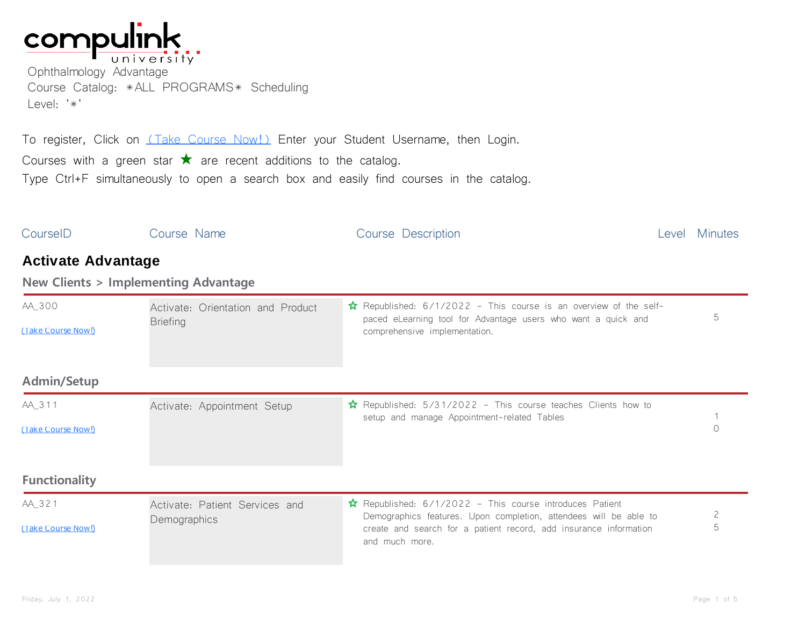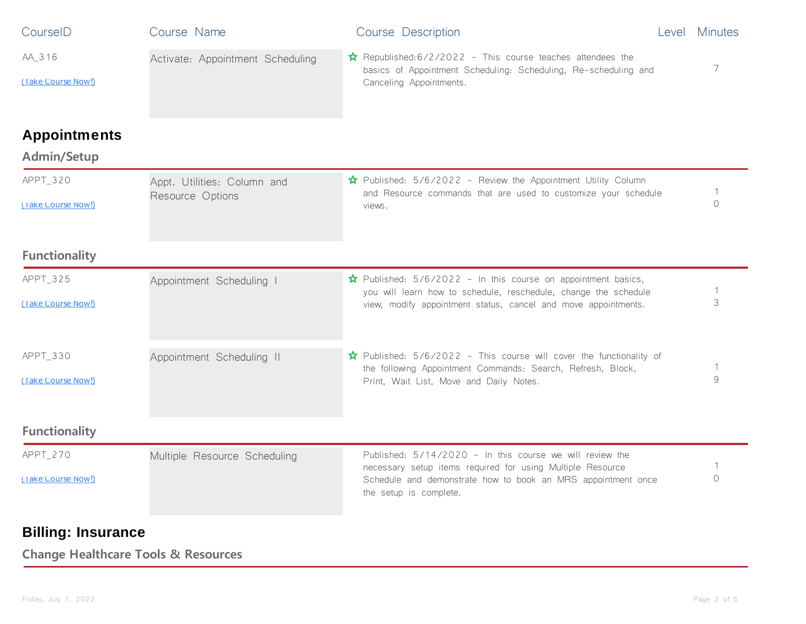| CourseID             | Course Name                      | Course Description                                                                                                                                                         |  | Level Minutes |
|----------------------|----------------------------------|----------------------------------------------------------------------------------------------------------------------------------------------------------------------------|--|---------------|
| AA_316               | Activate: Appointment Scheduling | $\hat{\mathbf{x}}$ Republished: 6/2/2022 - This course teaches attendees the<br>basics of Appointment Scheduling: Scheduling, Re-scheduling and<br>Canceling Appointments. |  | 7             |
| (Take Course Now!)   |                                  |                                                                                                                                                                            |  |               |
| <b>Appointments</b>  |                                  |                                                                                                                                                                            |  |               |
| <b>Admin/Setup</b>   |                                  |                                                                                                                                                                            |  |               |
| APPT_320             | Appt. Utilities: Column and      | $\hat{\mathbf{x}}$ Published: 5/6/2022 - Review the Appointment Utility Column<br>and Resource commands that are used to customize your schedule                           |  |               |
| (Take Course Now!)   | Resource Options                 | views.                                                                                                                                                                     |  | $\bigcirc$    |
| <b>Functionality</b> |                                  |                                                                                                                                                                            |  |               |
| APPT_325             | Appointment Scheduling           | $\hat{\mathbf{x}}$ Published: 5/6/2022 - In this course on appointment basics,<br>you will learn how to schedule, reschedule, change the schedule                          |  |               |
| (Take Course Now!)   |                                  | view, modify appointment status, cancel and move appointments.                                                                                                             |  | 3             |
| APPT_330             | Appointment Scheduling II        | $\hat{\mathbf{x}}$ Published: 5/6/2022 - This course will cover the functionality of<br>the following Appointment Commands: Search, Refresh, Block,                        |  | 1             |
| (Take Course Now!)   |                                  | Print, Wait List, Move and Daily Notes.                                                                                                                                    |  | 9             |
| <b>Functionality</b> |                                  |                                                                                                                                                                            |  |               |
| APPT_270             | Multiple Resource Scheduling     | Published: 5/14/2020 - In this course we will review the<br>necessary setup items required for using Multiple Resource                                                     |  |               |
| (Take Course Now!)   |                                  | Schedule and demonstrate how to book an MRS appointment once<br>the setup is complete.                                                                                     |  | $\bigcap$     |

## **Billing: Insurance**

**Change Healthcare Tools & Resources**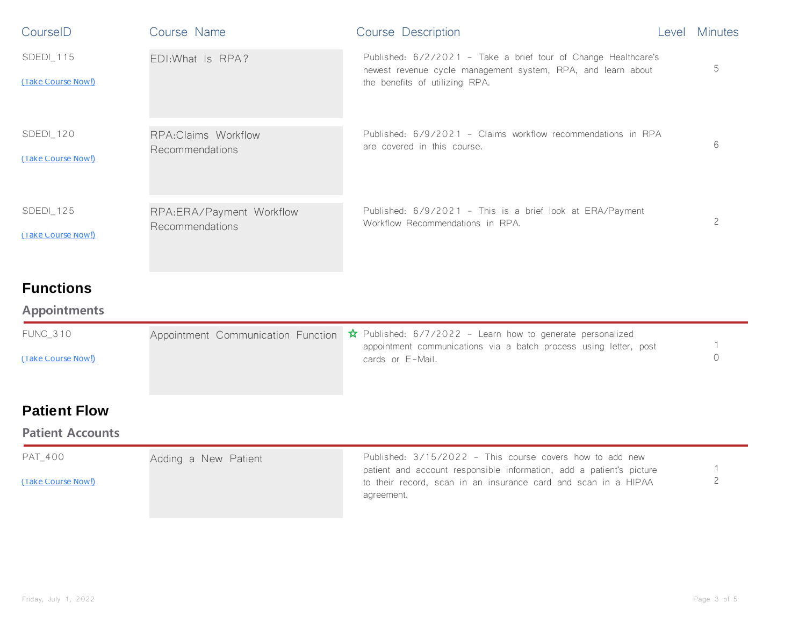| CourseID                        | Course Name                                   | Course Description                                                                                                                                               | Level | <b>Minutes</b> |
|---------------------------------|-----------------------------------------------|------------------------------------------------------------------------------------------------------------------------------------------------------------------|-------|----------------|
| SDEDI_115<br>(Take Course Now!) | EDI: What Is RPA?                             | Published: 6/2/2021 - Take a brief tour of Change Healthcare's<br>newest revenue cycle management system, RPA, and learn about<br>the benefits of utilizing RPA. |       | 5              |
| SDEDI_120<br>(Take Course Now!) | <b>RPA:Claims Workflow</b><br>Recommendations | Published: 6/9/2021 - Claims workflow recommendations in RPA<br>are covered in this course.                                                                      |       | 6              |
| SDEDI_125<br>(Take Course Now!) | RPA:ERA/Payment Workflow<br>Recommendations   | Published: 6/9/2021 - This is a brief look at ERA/Payment<br>Workflow Recommendations in RPA.                                                                    |       | $\mathsf{S}$   |
| <b>Functions</b>                |                                               |                                                                                                                                                                  |       |                |

## **Appointments**

| FUNC 310           | Appointment Communication Function $\hat{x}$ Published: 6/7/2022 - Learn how to generate personalized<br>appointment communications via a batch process using letter, post |  |
|--------------------|----------------------------------------------------------------------------------------------------------------------------------------------------------------------------|--|
| (Take Course Now!) | cards or E-Mail.                                                                                                                                                           |  |

## **Patient Flow**

## **Patient Accounts**

| PAT 400            | Adding a New Patient | Published: $3/15/2022$ - This course covers how to add new                                                                                           |  |
|--------------------|----------------------|------------------------------------------------------------------------------------------------------------------------------------------------------|--|
| (Take Course Now!) |                      | patient and account responsible information, add a patient's picture<br>to their record, scan in an insurance card and scan in a HIPAA<br>agreement. |  |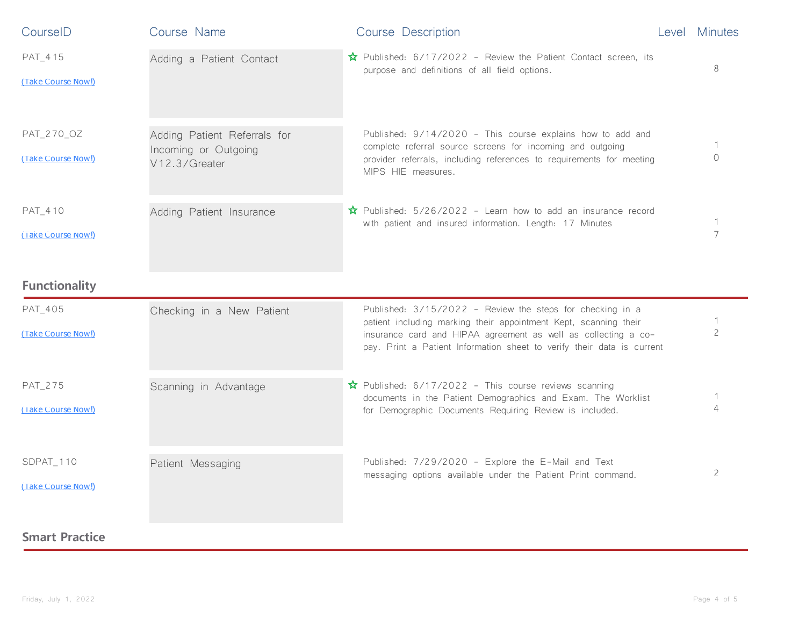| CourseID                         | Course Name                                                           | Course Description                                                                                                                                                                                                                                                        | Level Minutes            |
|----------------------------------|-----------------------------------------------------------------------|---------------------------------------------------------------------------------------------------------------------------------------------------------------------------------------------------------------------------------------------------------------------------|--------------------------|
| PAT_415<br>(Take Course Now!)    | Adding a Patient Contact                                              | ☆ Published: 6/17/2022 - Review the Patient Contact screen, its<br>purpose and definitions of all field options.                                                                                                                                                          | 8                        |
| PAT_270_OZ<br>(Take Course Now!) | Adding Patient Referrals for<br>Incoming or Outgoing<br>V12.3/Greater | Published: 9/14/2020 - This course explains how to add and<br>complete referral source screens for incoming and outgoing<br>provider referrals, including references to requirements for meeting<br>MIPS HIE measures.                                                    | $\bigcap$                |
| PAT_410<br>(Take Course Now!)    | Adding Patient Insurance                                              | $\hat{\mathbf{x}}$ Published: 5/26/2022 - Learn how to add an insurance record<br>with patient and insured information. Length: 17 Minutes                                                                                                                                | 7                        |
| <b>Functionality</b>             |                                                                       |                                                                                                                                                                                                                                                                           |                          |
| PAT_405<br>(Take Course Now!)    | Checking in a New Patient                                             | Published: 3/15/2022 - Review the steps for checking in a<br>patient including marking their appointment Kept, scanning their<br>insurance card and HIPAA agreement as well as collecting a co-<br>pay. Print a Patient Information sheet to verify their data is current | $\overline{\phantom{0}}$ |
| PAT_275<br>(Take Course Now!)    | Scanning in Advantage                                                 | $\hat{\mathbf{x}}$ Published: 6/17/2022 - This course reviews scanning<br>documents in the Patient Demographics and Exam. The Worklist<br>for Demographic Documents Requiring Review is included.                                                                         | $\Delta$                 |
| SDPAT_110<br>(Take Course Now!)  | Patient Messaging                                                     | Published: 7/29/2020 - Explore the E-Mail and Text<br>messaging options available under the Patient Print command.                                                                                                                                                        | $\overline{c}$           |
| <b>Smart Practice</b>            |                                                                       |                                                                                                                                                                                                                                                                           |                          |